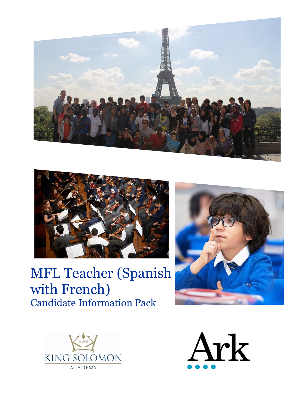



# MFL Teacher (Spanish with French) Candidate Information Pack





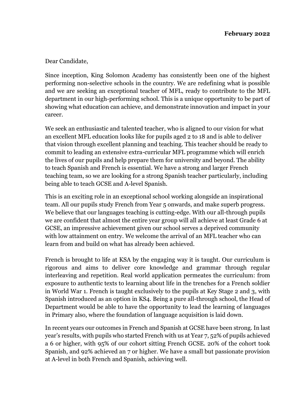#### Dear Candidate,

Since inception, King Solomon Academy has consistently been one of the highest performing non-selective schools in the country. We are redefining what is possible and we are seeking an exceptional teacher of MFL, ready to contribute to the MFL department in our high-performing school. This is a unique opportunity to be part of showing what education can achieve, and demonstrate innovation and impact in your career.

We seek an enthusiastic and talented teacher, who is aligned to our vision for what an excellent MFL education looks like for pupils aged 2 to 18 and is able to deliver that vision through excellent planning and teaching. This teacher should be ready to commit to leading an extensive extra-curricular MFL programme which will enrich the lives of our pupils and help prepare them for university and beyond. The ability to teach Spanish and French is essential. We have a strong and larger French teaching team, so we are looking for a strong Spanish teacher particularly, including being able to teach GCSE and A-level Spanish.

This is an exciting role in an exceptional school working alongside an inspirational team. All our pupils study French from Year 5 onwards, and make superb progress. We believe that our languages teaching is cutting-edge. With our all-through pupils we are confident that almost the entire year group will all achieve at least Grade 6 at GCSE, an impressive achievement given our school serves a deprived community with low attainment on entry. We welcome the arrival of an MFL teacher who can learn from and build on what has already been achieved.

French is brought to life at KSA by the engaging way it is taught. Our curriculum is rigorous and aims to deliver core knowledge and grammar through regular interleaving and repetition. Real world application permeates the curriculum: from exposure to authentic texts to learning about life in the trenches for a French soldier in World War 1. French is taught exclusively to the pupils at Key Stage 2 and 3, with Spanish introduced as an option in KS4. Being a pure all-through school, the Head of Department would be able to have the opportunity to lead the learning of languages in Primary also, where the foundation of language acquisition is laid down.

In recent years our outcomes in French and Spanish at GCSE have been strong. In last year's results, with pupils who started French with us at Year 7, 52% of pupils achieved a 6 or higher, with 95% of our cohort sitting French GCSE. 20% of the cohort took Spanish, and 92% achieved an 7 or higher. We have a small but passionate provision at A-level in both French and Spanish, achieving well.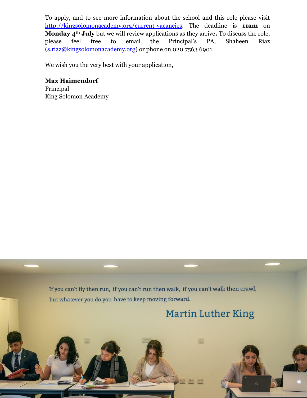To apply, and to see more information about the school and this role please visit [http://kingsolomonacademy.org/current-vacancies.](http://kingsolomonacademy.org/current-vacancies) The deadline is **11am** on **Monday 4th July** but we will review applications as they arrive**.** To discuss the role, please feel free to email the Principal's PA, Shaheen Riaz [\(s.riaz@kingsolomonacademy.org\)](mailto:s.riaz@kingsolomonacademy.org) or phone on 020 7563 6901.

We wish you the very best with your application,

**Max Haimendorf** Principal King Solomon Academy

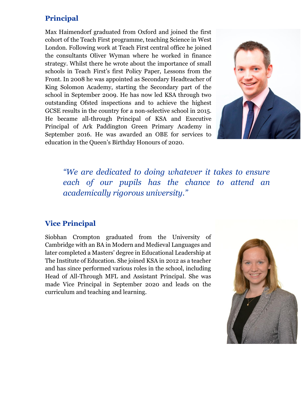#### **Principal**

Max Haimendorf graduated from Oxford and joined the first cohort of the Teach First programme, teaching Science in West London. Following work at Teach First central office he joined the consultants Oliver Wyman where he worked in finance strategy. Whilst there he wrote about the importance of small schools in Teach First's first Policy Paper, Lessons from the Front. In 2008 he was appointed as Secondary Headteacher of King Solomon Academy, starting the Secondary part of the school in September 2009. He has now led KSA through two outstanding Ofsted inspections and to achieve the highest GCSE results in the country for a non-selective school in 2015. He became all-through Principal of KSA and Executive Principal of Ark Paddington Green Primary Academy in September 2016. He was awarded an OBE for services to education in the Queen's Birthday Honours of 2020.



*"We are dedicated to doing whatever it takes to ensure each of our pupils has the chance to attend an academically rigorous university."*

#### **Vice Principal**

Siobhan Crompton graduated from the University of Cambridge with an BA in Modern and Medieval Languages and later completed a Masters' degree in Educational Leadership at The Institute of Education. She joined KSA in 2012 as a teacher and has since performed various roles in the school, including Head of All-Through MFL and Assistant Principal. She was made Vice Principal in September 2020 and leads on the curriculum and teaching and learning.

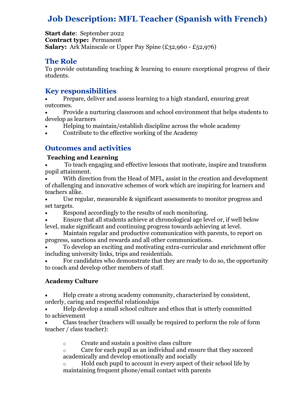# **Job Description: MFL Teacher (Spanish with French)**

**Start date**: September 2022 **Contract type:** Permanent **Salary:** Ark Mainscale or Upper Pay Spine (£32,960 - £52,976)

#### **The Role**

To provide outstanding teaching & learning to ensure exceptional progress of their students.

#### **Key responsibilities**

• Prepare, deliver and assess learning to a high standard, ensuring great outcomes.

• Provide a nurturing classroom and school environment that helps students to develop as learners

• Helping to maintain/establish discipline across the whole academy

• Contribute to the effective working of the Academy

#### **Outcomes and activities**

#### **Teaching and Learning**

• To teach engaging and effective lessons that motivate, inspire and transform pupil attainment.

• With direction from the Head of MFL, assist in the creation and development of challenging and innovative schemes of work which are inspiring for learners and teachers alike.

Use regular, measurable & significant assessments to monitor progress and set targets.

Respond accordingly to the results of such monitoring.

• Ensure that all students achieve at chronological age level or, if well below level, make significant and continuing progress towards achieving at level.

• Maintain regular and productive communication with parents, to report on progress, sanctions and rewards and all other communications.

• To develop an exciting and motivating extra-curricular and enrichment offer including university links, trips and residentials.

• For candidates who demonstrate that they are ready to do so, the opportunity to coach and develop other members of staff.

#### **Academy Culture**

• Help create a strong academy community, characterized by consistent, orderly, caring and respectful relationships

• Help develop a small school culture and ethos that is utterly committed to achievement

• Class teacher (teachers will usually be required to perform the role of form teacher / class teacher):

o Create and sustain a positive class culture

o Care for each pupil as an individual and ensure that they succeed academically and develop emotionally and socially

Hold each pupil to account in every aspect of their school life by maintaining frequent phone/email contact with parents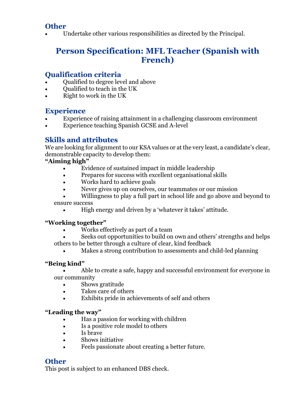#### **Other**

• Undertake other various responsibilities as directed by the Principal.

# **Person Specification: MFL Teacher (Spanish with French)**

#### **Qualification criteria**

- Qualified to degree level and above
- Oualified to teach in the UK
- Right to work in the UK

#### **Experience**

- Experience of raising attainment in a challenging classroom environment
- Experience teaching Spanish GCSE and A-level

#### **Skills and attributes**

We are looking for alignment to our KSA values or at the very least, a candidate's clear, demonstrable capacity to develop them:

#### **"Aiming high"**

- Evidence of sustained impact in middle leadership
- Prepares for success with excellent organisational skills
- Works hard to achieve goals
- Never gives up on ourselves, our teammates or our mission
- Willingness to play a full part in school life and go above and beyond to ensure success
	- High energy and driven by a 'whatever it takes' attitude.

#### **"Working together"**

- Works effectively as part of a team
- Seeks out opportunities to build on own and others' strengths and helps others to be better through a culture of clear, kind feedback
	- Makes a strong contribution to assessments and child-led planning

#### **"Being kind"**

- Able to create a safe, happy and successful environment for everyone in our community
	- Shows gratitude
	- Takes care of others
	- Exhibits pride in achievements of self and others

#### **"Leading the way"**

- Has a passion for working with children
- Is a positive role model to others
- Is brave
- Shows initiative
- Feels passionate about creating a better future.

#### **Other**

This post is subject to an enhanced DBS check.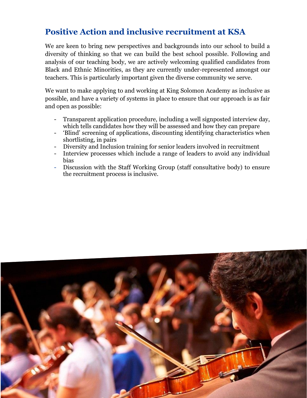# **Positive Action and inclusive recruitment at KSA**

We are keen to bring new perspectives and backgrounds into our school to build a diversity of thinking so that we can build the best school possible. Following and analysis of our teaching body, we are actively welcoming qualified candidates from Black and Ethnic Minorities, as they are currently under-represented amongst our teachers. This is particularly important given the diverse community we serve.

We want to make applying to and working at King Solomon Academy as inclusive as possible, and have a variety of systems in place to ensure that our approach is as fair and open as possible:

- Transparent application procedure, including a well signposted interview day, which tells candidates how they will be assessed and how they can prepare
- 'Blind' screening of applications, discounting identifying characteristics when shortlisting, in pairs
- Diversity and Inclusion training for senior leaders involved in recruitment
- Interview processes which include a range of leaders to avoid any individual bias
- Discussion with the Staff Working Group (staff consultative body) to ensure the recruitment process is inclusive.

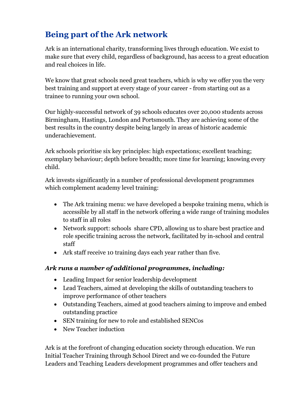# **Being part of the Ark network**

Ark is an international charity, transforming lives through education. We exist to make sure that every child, regardless of background, has access to a great education and real choices in life.

We know that great schools need great teachers, which is why we offer you the very best training and support at every stage of your career - from starting out as a trainee to running your own school.

Our highly-successful network of 39 schools educates over 20,000 students across Birmingham, Hastings, London and Portsmouth. They are achieving some of the best results in the country despite being largely in areas of historic academic underachievement.

Ark schools prioritise six key principles: high expectations; excellent teaching; exemplary behaviour; depth before breadth; more time for learning; knowing every child.

Ark invests significantly in a number of professional development programmes which complement academy level training:

- The Ark training menu: we have developed a bespoke training menu, which is accessible by all staff in the network offering a wide range of training modules to staff in all roles
- Network support: schools share CPD, allowing us to share best practice and role specific training across the network, facilitated by in-school and central staff
- Ark staff receive 10 training days each year rather than five.

#### *Ark runs a number of additional programmes, including:*

- Leading Impact for senior leadership development
- Lead Teachers, aimed at developing the skills of outstanding teachers to improve performance of other teachers
- Outstanding Teachers, aimed at good teachers aiming to improve and embed outstanding practice
- SEN training for new to role and established SENCos
- New Teacher induction

Ark is at the forefront of changing education society through education. We run Initial Teacher Training through School Direct and we co-founded the Future Leaders and Teaching Leaders development programmes and offer teachers and